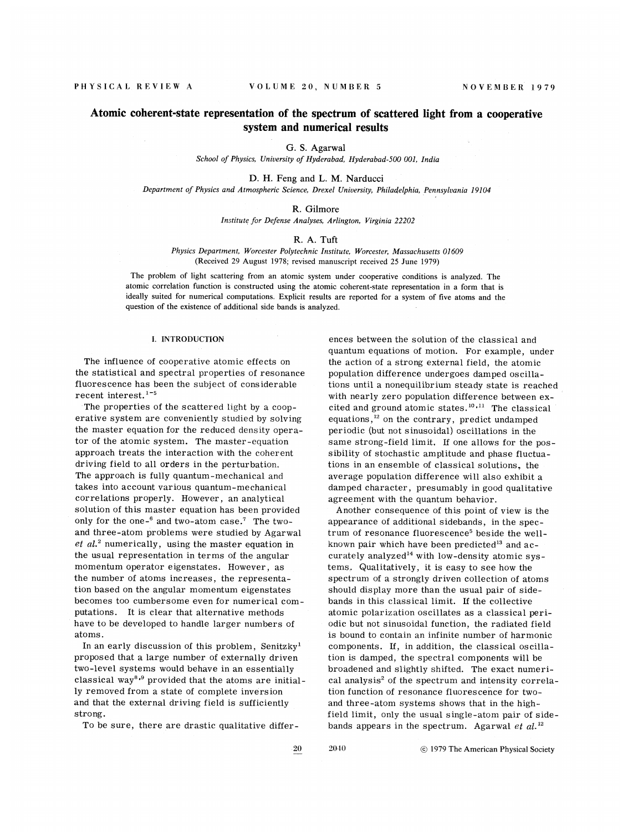# Atomic coherent-state representation of the spectrum of scattered light from a cooperative system and numerical results

### G. S. Agarwal

School of Physics, University of Hyderabad, Hyderabad-SOO 001, India

## D. H. Feng and L. M. Narducci

Department of Physics and Atmospheric Science, Drexel University, Philadelphia, Pennsylvania 19104

# R. Gilmore Institute for Defense Analyses, Arlington, Virginia 22202

# R. A. Tuft

Physics Department, Worcester Polytechnic Institute, Worcester, Massachusetts 01609 (Received 29 August. 1978; revised manuscript received 25 June 1979)

The problem of light scattering from an atomic system under cooperative conditions is analyzed. The atomic correlation function is constructed using the atomic coherent-state representation in a form that is ideally suited for numerical computations. Explicit results are reported for a system of five atoms and the question of the existence of additional side bands is analyzed,

### I. INTRODUCTION

The influence of cooperative atomic effects on the statistical and spectral properties of resonance fluorescence has been the subject of considerable recent interest.<sup>1-5</sup>

The properties of the scattered light by a cooperative system are conveniently studied by solving the master equation for the reduced density operator of the atomic system. The master-equation approach treats the interaction with the coherent driving field to all orders in the perturbation. The approach is fully quantum-mechanical and takes into account various quantum-mechanical correlations properly. However, an analytical solution of this master equation has been provided only for the one-<sup>6</sup> and two-atom case.<sup>7</sup> The twoand three-atom problems were studied by Agarwal and three-atom problems were studied by Agarw  $et \ al.^2$  numerically, using the master equation in the usual representation in terms of the angular momentum operator eigenstates. However, as the number of atoms increases, the representation based on the angular momentum eigenstates becomes too cumbersome even for numerical computations. It is clear that alternative methods have to be developed to handle larger numbers of atoms.

In an early discussion of this problem, Senitzky' proposed that a large number of externally driven two-level systems would behave in an essentially classical way<sup>8,9</sup> provided that the atoms are initially removed from a state of complete inversion and that the external driving field is sufficiently strong.

To be sure, there are drastic qualitative differ-

ences between the solution of the classical and quantum equations of motion. For example, under the action of a strong external field, the atomic population difference undergoes damped oscillations until a nonequilibrium steady state is reached with nearly zero population difference between exwith nearly zero population difference between ex<br>cited and ground atomic states.<sup>10,11</sup> The classica equations, $^{12}$  on the contrary, predict undamped periodic (but not sinusoidal) oscillations in the same strong-field limit, If one allows for the possibility of stochastic amplitude and phase fluctuations in an ensemble of classical solutions, the average population difference will also exhibit a damped character, presumably in good qualitative agreement with the quantum behavior.

Another consequence of this point of view is the appearance of additional sidebands, in the spectrum of resonance fluorescence' beside the wellknown pair which have been predicted<sup>13</sup> and accurately analyzed<sup>14</sup> with low-density atomic systems. Qualitatively, it is easy to see how the spectrum of a strongly driven collection of atoms should display more than the usual pair of sidebands in this classical limit. If the collective atomic polarization oscillates as a classical periodic but not sinusoidal function, the radiated field is bound to contain an infinite number of harmonic components. If, in addition, the classical oscillation is damped, the spectral components will be broadened and slightly shifted. The exact numerical analysis' of the spectrum and intensity correlation function of resonance fluorescence for twoand three-atom systems shows that in the highfield limit, only the usual single-atom pair of sidebands appears in the spectrum. Agarwal *et al.*<sup>12</sup> bands appears in the spectrum. Agarwal et  $al$ .<sup>12</sup>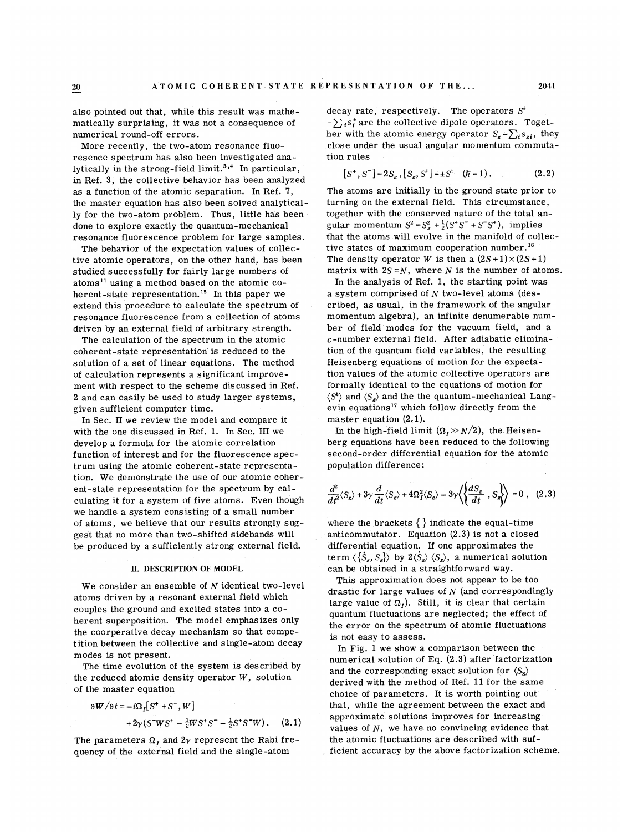also pointed out that, while this result was mathematically surprising, it was not a consequence of numer ical round-off errors.

More recently, the two-atom resonance fluoresence spectrum has also been investigated analytically in the strong-field limit.<sup>3,4</sup> In particular, in Ref. 3, the collective behavior has been analyzed as a function of the atomic separation. In Ref. 7, the master equation has also been solved analytically for the two-atom problem. Thus, little has been done to explore exactly the quantum-mechanical resonance fluorescence problem for large samples.

The behavior of the expectation values of collective atomic operators, on the other hand, has been studied successfully for fairly large numbers of atoms<sup>11</sup> using a method based on the atomic coatoms<sup>11</sup> using a method based on the atomic completed the representation.<sup>15</sup> In this paper we extend this procedure to calculate the spectrum of resonance fluorescence from a collection of atoms driven by an external field of arbitrary strength.

The calculation of the spectrum in the atomic coherent-state representation is reduced to the solution of a set of linear equations. The method of calculation represents a significant improvement with respect to the scheme discussed in Ref. 2 and can easily be used to study larger systems, given sufficient computer time.

In Sec. II we review the model and compare it with the one discussed in Ref. 1. In Sec. III we develop a formula for the atomic correlation function of interest and for the fluorescence spectrum using the atomic coherent-state representation. We demonstrate the use of our atomic coherent-state representation for the spectrum by calculating it for a system of five atoms. Even though we handle a system consisting of a small number of atoms, we believe that our results strongly suggest that no more than two-shifted sidebands will be produced by a sufficiently strong external field.

#### II. DESCRIPTION OF MODEL

We consider an ensemble of  $N$  identical two-level atoms driven by a resonant external field which couples the ground and excited states into a coherent superposition. The model emphasizes only the coorperative decay mechanism so that competition between the collective and single-atom decay modes is not present.

The time evolution of the system is described by the reduced atomic density operator  $W$ , solution of the master equation ne time evolution of the system is descreduced atomic density operator *W*, so<br>reduced atomic density operator *W*, so<br> $\frac{\partial \mathbf{W}}{\partial t} = -i\Omega_I[\mathbf{S}^+ + \mathbf{S}^-, W]$ 

$$
\partial W / \partial t = -i\Omega_I [S^+ + S^-, W] + 2\gamma (S^- W S^+ - \frac{1}{2} W S^+ S^- - \frac{1}{2} S^+ S^- W).
$$
 (2.1)

The parameters  $\Omega_I$  and  $2\gamma$  represent the Rabi frequency of the external field and the single-atom

decay rate, respectively. The operators  $S^{\pm}$ decay rate, respectively. The operators 3<br>= $\sum_i s_i^2$  are the collective dipole operators. Together with the atomic energy operator  $S_{\boldsymbol{\varepsilon}} = \sum_i s_{\boldsymbol{\varepsilon} i}$ , they close under the usual angular momentum commutation rules

 $[S^+, S^-] = 2S_{\epsilon}, [S_{\epsilon}, S^{\epsilon}] = \pm S^{\epsilon}$  ( $\hbar = 1$ ). (2.2)

The atoms are initially in the ground state prior to turning on the external field. This circumstance, together with the conserved nature of the total angular momentum  $S^2 = S_x^2 + \frac{1}{2}(S^+S^- + S^-S^+)$ , implies that the atoms will evolve in the manifold of collective states of maximum cooperation number.<sup>16</sup> tive states of maximum cooperation number.<sup>16</sup> The density operator W is then a  $(2S+1)\times(2S+1)$ matrix with  $2s = N$ , where N is the number of atoms.

In the analysis of Ref. 1, the starting point was a system comprised of N two-level atoms (described, as usual, in the framework of the angular momentum algebra), an infinite denumerable number of field modes for the vacuum field, and a  $c$ -number external field. After adiabatic elimination of the quantum field variables, the resulting Heisenberg equations of motion for the expectation values of the atomic collective operators are formally identical to the equations of motion for  $\langle S^{\! \mathrm{t}}\rangle$  and  $\langle S_{\mathbf{z}}\rangle$  and the the quantum-mechanical Langevin equations<sup>17</sup> which follow directly from the master equation  $(2,1)$ .

In the high-field limit  $(\Omega_r \gg N/2)$ , the Heisenberg equations have been reduced to the following population difference:

second-order differential equation for the atomic  
population difference:  

$$
\frac{d^2}{dt^2} \langle S_z \rangle + 3\gamma \frac{d}{dt} \langle S_z \rangle + 4\Omega_I^2 \langle S_z \rangle - 3\gamma \langle \left\{ \frac{dS_z}{dt}, S_z \right\} \rangle = 0 , (2.3)
$$

where the brackets  $\{\}$  indicate the equal-time anticommutator. Equation (2.3) is not a closed differential equation. If one approximates the term  $\langle \{\dot{S}_z, S_z\}\rangle$  by  $2\langle \dot{S}_z \rangle \langle S_z \rangle$ , a numerical solution can be obtained in a straightforward way.

This approximation does not appear to be too drastic for large values of  $N$  (and correspondingly large value of  $\Omega_t$ ). Still, it is clear that certain quantum fluctuations are neglected; the effect of the error on the spectrum of atomic fluctuations is not easy to assess.

In Fig. 1 we show a comparison between the numerical solution of Eq. (2.3) after factorization and the corresponding exact solution for  $\langle S_3 \rangle$ derived with the method of Ref. 11 for the same choice of parameters. It is worth pointing out that, while the agreement between the exact and approximate solutions improves for increasing values of  $N$ , we have no convincing evidence that the atomic fluctuations are described with sufficient accuracy by the above factorization scheme.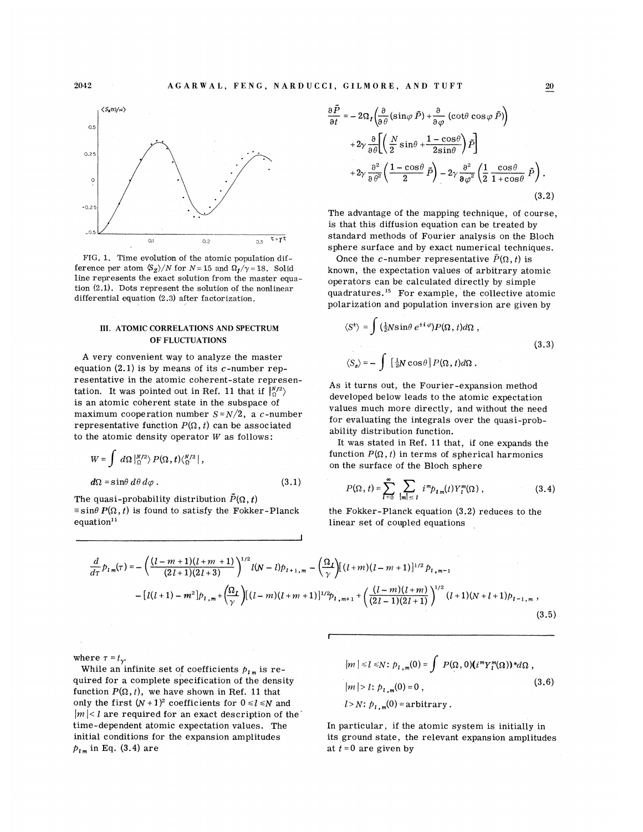

FIG. 1. Time evolution of the atomic population difference per atom  $\langle S_z \rangle/N$  for  $N=15$  and  $\Omega_z/\gamma = 18$ . Solid line represents the exact solution from the master equation (2.1). Dots represent the solution of the nonlinear differential equation (2.3) after factorization

# **III. ATOMIC CORRELATIONS AND SPECTRUM** OF FLUCTUATIONS

A very convenient way to analyze the master equation (2.1) is by means of its c-number representative in the atomic coherent-state representation. It was pointed out in Ref. 11 that if  $\binom{N}{2}$ is an atomic coherent state in the subspace of maximum cooperation number  $S=N/2$ , a c-number representative function  $P(\Omega, t)$  can be associated to the atomic density operator  $W$  as follows:

$$
W = \int d\Omega \, \left| \frac{N}{\Omega} \right|^2 \rangle \, P(\Omega, t) \left\langle \frac{N}{\Omega} \right|^2 \, ,
$$
  

$$
d\Omega = \sin\theta \, d\theta \, d\varphi \, . \tag{3.1}
$$

The quasi-probability distribution  $\tilde{P}(\Omega, t)$  $\equiv$ sin $\theta P(\Omega, t)$  is found to satisfy the Fokker-Planck equation<sup>11</sup>

$$
\frac{\partial \tilde{P}}{\partial t} = -2\Omega_I \left( \frac{\partial}{\partial \theta} (\sin \varphi \, \tilde{P}) + \frac{\partial}{\partial \varphi} (\cot \theta \, \cos \varphi \, \tilde{P}) \right) \n+2\gamma \frac{\partial}{\partial \theta} \left[ \left( \frac{N}{2} \sin \theta + \frac{1 - \cos \theta}{2 \sin \theta} \right) \tilde{P} \right] \n+2\gamma \frac{\partial^2}{\partial \theta^2} \left( \frac{1 - \cos \theta}{2} \, \tilde{P} \right) - 2\gamma \frac{\partial^2}{\partial \varphi^2} \left( \frac{1}{2} \frac{\cos \theta}{1 + \cos \theta} \, \tilde{P} \right).
$$
\n(3.2)

The advantage of the mapping technique, of course, is that this diffusion equation can be treated by standard methods of Fourier analysis on the Bloch sphere surface and by exact numerical techniques.

Once the c-number representative  $\tilde{P}(\Omega, t)$  is known, the expectation values of arbitrary atomic operators can be calculated directly by simple<br>quadratures.<sup>15</sup> For example, the collective a quadratures.<sup>15</sup> For example, the collective atomic polarization and population inversion are given by

$$
\langle S^{\dagger} \rangle = \int \left( \frac{1}{2} N \sin \theta \, e^{\pm i \, \varphi} \right) P(\Omega, t) d\Omega \;,
$$
  

$$
\langle S_{z} \rangle = - \int \left[ \frac{1}{2} N \cos \theta \right] P(\Omega, t) d\Omega \;.
$$
 (3.3)

As it turns out, the Fourier-expansion method developed below leads to the atomic expectation values much more directly, and without the need for evaluating the integrals over the quasi-probability distribution function.

It was stated in Ref. 11 that, if one expands the function  $P(\Omega, t)$  in terms of spherical harmonics on the surface of the Bloch sphere

$$
P(\Omega, t) = \sum_{l=0}^{\infty} \sum_{|m| \le l} i^m p_{l,m}(t) Y_l^m(\Omega) , \qquad (3.4)
$$

the Fokker-Planck equation (3.2) reduces to the linear set of coupled equations

$$
\frac{d}{d\tau}p_{l,m}(\tau) = -\left(\frac{(l-m+1)(l+m+1)}{(2l+1)(2l+3)}\right)^{1/2} l(N-l)p_{l+1,m} - \left(\frac{\Omega_I}{\gamma}\right) [(l+m)(l-m+1)]^{1/2} p_{l,m-1} - [l(l+1)-m^2]p_{l,m} + \left(\frac{\Omega_I}{\gamma}\right) [(l-m)(l+m+1)]^{1/2} p_{l,m+1} + \left(\frac{(l-m)(l+m)}{(2l-1)(2l+1)}\right)^{1/2} (l+1)(N+l+1)p_{l-1,m} ,
$$
\n(3.5)

where  $\tau = t_{\gamma}$ .

While an infinite set of coefficients  $p_{1m}$  is required for a complete specification of the densit function  $P(\Omega, t)$ , we have shown in Ref. 11 that only the first  $(N + 1)^2$  coefficients for  $0 \le l \le N$  and  $|m| < l$  are required for an exact description of the time-dependent atomic expectation values. The initial conditions for the expansion amplitudes  $p_{lm}$  in Eq. (3.4) are

$$
|m| \le l \le N: p_{I,m}(0) = \int P(\Omega, 0)(i^m Y_I^m(\Omega))^* d\Omega,
$$
  
\n
$$
|m| > l: p_{I,m}(0) = 0,
$$
  
\n
$$
l > N: p_{I,m}(0) = \text{arbitrary}.
$$
 (3.6)

In particular, if the atomic system is initially in its ground state, the relevant expansion amplitudes at  $t = 0$  are given by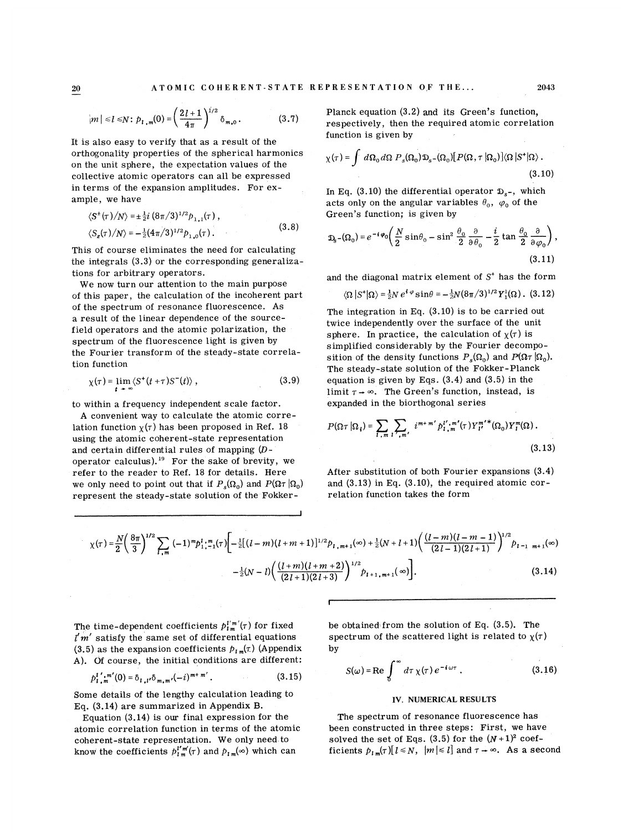$$
|m| \le l \le N: p_{1,m}(0) = \left(\frac{2l+1}{4\pi}\right)^{1/2} \delta_{m,0}.
$$
 (3.7)

It is also easy to verify that as a result of the orthogonality properties of the spherical harmonics on the unit sphere, the expectation values of the collective atomic operators can all be expressed in terms of the expansion amplitudes. For example, we have

$$
\langle S^{\pm}(\tau)/N \rangle = \pm \frac{1}{2} i (8\pi/3)^{1/2} p_{1,1}(\tau) ,
$$
  

$$
\langle S_z(\tau)/N \rangle = -\frac{1}{2} (4\pi/3)^{1/2} p_{1,0}(\tau) .
$$
 (3.8)

This of course eliminates the need for calculating the integrals (3.3) or the corresponding generalizations for arbitrary operators.

We now turn our attention to the main purpose of this paper, the calculation of the incoherent part of the spectrum of resonance fluorescence. As a result of the linear dependence of the sourcefield operators and the atomic polarization, the spectrum of the fluorescence light is given by the Fourier transform of the steady-state correlation function

$$
\chi(\tau) = \lim_{t \to \infty} \langle S^+(t + \tau) S^-(t) \rangle , \qquad (3.9)
$$

to within a frequency independent scale factor.

<sup>A</sup> convenient way to calculate the atomic correlation function  $\chi(\tau)$  has been proposed in Ref. 18 using the atomic coherent-state representation and certain differential rules of mapping (D<br>operator calculus).<sup>19</sup> For the sake of brevi operator calculus).<sup>19</sup> For the sake of brevity, we refer to the reader to Ref. 18 for details. Here we only need to point out that if  $P_s(\Omega_0)$  and  $P(\Omega \tau | \Omega_0)$ represent the steady-state solution of the FokkerPlanck equation (3.2) and its Green's function, respectively, then the required atomic correlation function is given by

$$
\chi(\tau) = \int d\Omega_0 d\Omega P_s(\Omega_0) \mathfrak{D}_s - (\Omega_0) [P(\Omega, \tau | \Omega_0)] \langle \Omega | S^* | \Omega \rangle.
$$
\n(3.10)

In Eq. (3.10) the differential operator  $\mathcal{D}_{s}$ -, which acts only on the angular variables  $\theta_0$ ,  $\varphi_0$  of the Green's function; is given by

$$
\mathfrak{D}_{s} - (\Omega_{0}) = e^{-i \phi_{0}} \left( \frac{N}{2} \sin \theta_{0} - \sin^{2} \frac{\theta_{0}}{2} \frac{\partial}{\partial \theta_{0}} - \frac{i}{2} \tan \frac{\theta_{0}}{2} \frac{\partial}{\partial \phi_{0}} \right),
$$
\n(3.11)

and the diagonal matrix element of  $S<sup>+</sup>$  has the form

 $\langle \Omega | S^* | \Omega \rangle = \frac{1}{2}Ne^{i\varphi} \sin \theta = -\frac{1}{2}N(8\pi/3)^{1/2}Y_1^1(\Omega)$ . (3.12)

The integration in Eq. (3.10) is to be carried out twice independently over the surface of the unit sphere. In practice, the calculation of  $\chi(\tau)$  is simplified considerably by the Fourier decomposition of the density functions  $P_{s}(\Omega_0)$  and  $P(\Omega \tau | \Omega_0)$ . The steady-state solution of the Fokker-Planck equation is given by Eqs.  $(3.4)$  and  $(3.5)$  in the limit  $\tau \rightarrow \infty$ . The Green's function, instead, is expanded in the biorthogonal series

expanded in the horizontal series  
\n
$$
P(\Omega \tau | \Omega_i) = \sum_{i, m} \sum_{i, m'} i^{m+m'} p_{i, m}^{i', m'}(\tau) Y_i^{m'*}(\Omega_0) Y_i^m(\Omega).
$$
\n(3.13)

After substitution of both Fourier expansions (3.4) and (3.13) in Eq. (3.10), the required atomic correlation function takes the form

$$
\chi(\tau) = \frac{N}{2} \left(\frac{8\pi}{3}\right)^{1/2} \sum_{l,m} (-1)^m p_{1,-1}^l(\tau) \left[ -\frac{1}{2} [(l-m)(l+m+1)]^{1/2} p_{1,m+1}(\infty) + \frac{1}{2} (N+l+1) \left(\frac{(l-m)(l-m-1)}{(2l-1)(2l+1)}\right)^{1/2} p_{1-1,m+1}(\infty) - \frac{1}{2} (N-l) \left(\frac{(l+m)(l+m+2)}{(2l+1)(2l+3)}\right)^{1/2} p_{1+1,m+1}(\infty) \right].
$$
\n(3.14)

The time-dependent coefficients  $p_{1m}^{l'm'}(\tau)$  for fixed  $l'm'$  satisfy the same set of differential equations (3.5) as the expansion coefficients  $p_{i,m}(\tau)$  (Appendix

A). Of course, the initial conditions are different:  
\n
$$
p_{1,\,m}^{1',m'}(0) = \delta_{1,I'}\delta_{m,m'}(-i)^{m+m'}.
$$
\n(3.15)

Some details of the lengthy calculation leading to Eq. (3.14) are summarized in Appendix B.

Equation (3.14) is our final expression for the atomic correlation function in terms of the atomic coherent-state representation. We only need to know the coefficients  $p_{l m}^{l' m'}(\tau)$  and  $p_{l m}(\infty)$  which can

be obtained from the solution of Eq.  $(3.5)$ . The spectrum of the scattered light is related to  $\chi(\tau)$ by

$$
S(\omega) = \text{Re} \int_0^\infty d\tau \, \chi(\tau) \, e^{-i\,\omega\tau} \,. \tag{3.16}
$$

## IV. NUMERICAL RESULTS

The spectrum of resonance fluorescence has been constructed in three steps: First, we have solved the set of Eqs.  $(3.5)$  for the  $(N+1)^2$  coefficients  $p_{lm}(\tau)[l \leq N, |m| \leq l]$  and  $\tau \to \infty$ . As a second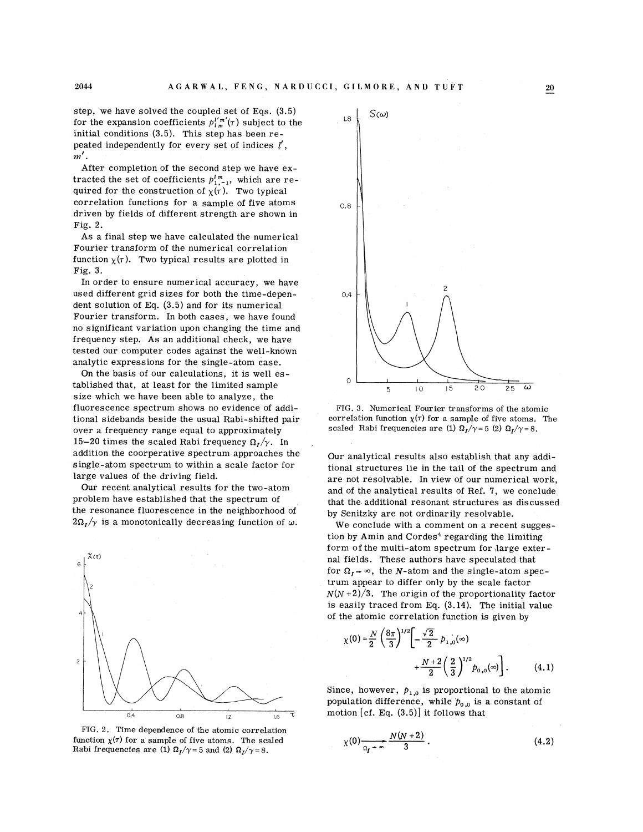step, we have solved the couple initial conditions (3.5). This step has been repeated independently for every set of indices  $l', m'$ .

After completion of the second step we have extracted the set of coefficients  $p_{1,-1}^{1,m}$ , which are required for the construction of  $\chi(\tau)$ . Two typical correlation functions for a sample of five atoms driven by fields of different strength are shown in Fig. 2.

As a final step we have calculated th Fourier transform of the numerical correlatio function  $\chi(\tau)$ . Two typical results are plotted in Fig. 3.

In order to ensure numerical accuracy, we have used different grid sizes for ourier transform. In both cases, we have foun dent solution of Eq.  $(3.5)$  and for its numerical frequency step. As an additional check, we have no significant variation upon changing the time and tested our computer codes against the well-known analytic expressions for the single-atom case.

On the basis of our calculations, it is well established that, at least for the limited sampl size which we have been able to analyze, th fluorescence spectrum shows no evidence of additional sidebands beside the usual Rabi-shifte tional sidebands beside the usual Rabi-shifted p<br>over a frequency range equal to approximately<br>15-20 times the scaled Rabi frequency  $\Omega_I/\gamma$ . In<br>addition the accompanities apachuum approximately over a frequency range equal to approximately addition the coorperative spectrum approaches the single-atom spectrum to within a scale factor for large values of the driving field.

roblem have established that the spectrum of nt analytical results for the two-atom the resonance fluorescence in the neighborhood o  $2\Omega_I/\gamma$  is a monotonically decreasing function of  $\omega$ .



FIG. 2. Time dependence of the atomic function  $\chi(\tau)$  for a sample of five atoms. The scaled Rabi frequencies are (1)  $\Omega_I/\gamma = 5$  and (2)  $\Omega_I/\gamma = 8$ .

![](_page_4_Figure_9.jpeg)

FIG. 3. Numerical Fourier transforms of the atom correlation function  $\chi(\tau)$  for a sample of five atoms. The scaled Rabi frequencies are (1)  $\Omega_I/\gamma = 5$  (2)  $\Omega_I/\gamma = 8$ .

Our analytical results also establish that any additional structures lie in the tail of the spectrum and and of the analytical results of Ref. 7, we conclude n view of our numerical worl e additional resonant structures as discusse by Senitzky are not ordinarily resolvable.

omment on a recent suggesy Amin and Cordes<sup>4</sup> regarding the limiting form of the multi-atom spe nal fields. These authors have speculated that for  $\Omega_I$   $\rightarrow \infty$ , the *N*-atom and the single-atom spectrum appear to differ only by the scale factor  $N(N+2)/3$ . The origin of the proportionality factor is easily traced from Eq.  $(3.14)$ . T of the atomic correlation function is given by

$$
\chi(0) = \frac{N}{2} \left(\frac{8\pi}{3}\right)^{1/2} \left[ -\frac{\sqrt{2}}{2} p_{1,0}(\infty) + \frac{N+2}{2} \left(\frac{2}{3}\right)^{1/2} p_{0,0}(\infty) \right].
$$
 (4.1)

Since, however,  $p_{1,0}$  is proportional to the atomic ifference, while  $p_{0,0}$  is a constant of motion [cf. Eq.  $(3.5)$ ] it follows that

$$
\chi(0) \xrightarrow[\Omega_I + \infty]{N(N+2)} 3 \tag{4.2}
$$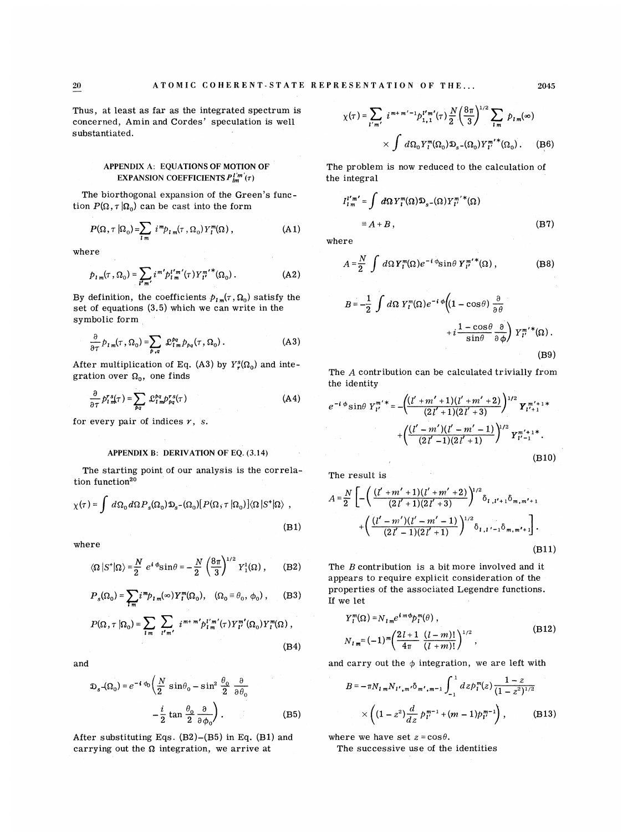Thus, at least as far as the integrated spectrum is concerned, Amin and Cordes' speculation is well substantiated.

# APPENDIX A: EQUATIONS OF MOTION OF EXPANSION COEFFICIENTS  $P_{lm}^{l'm'}(\tau)$

The biorthogonal expansion of the Green's function  $P(\Omega, \tau | \Omega_0)$  can be cast into the form

$$
P(\Omega, \tau | \Omega_0) = \sum_{l,m} i^m p_{l,m}(\tau, \Omega_0) Y_l^m(\Omega), \qquad (A1)
$$

where

$$
p_{l\,m}(\tau\,,\Omega_0) = \sum_{l'\,m'} i^{m'} p_{l\,m}^{l'\,m'}(\tau) Y_{l'}^{m'\,*}(\Omega_0)\,. \tag{A2}
$$

By definition, the coefficients  $p_{l,m}(\tau, \Omega_0)$  satisfy the set of equations  $(3.5)$  which we can write in the symbolic form

$$
\frac{\partial}{\partial \tau} p_{Im}(\tau, \Omega_0) = \sum_{p,q} \mathcal{L}_{Im}^{pq} p_{pq}(\tau, \Omega_0).
$$
 (A3)

After multiplication of Eq. (A3) by  $Y_r^s(\Omega_0)$  and integration over  $\Omega_0$ , one finds

$$
\frac{\partial}{\partial \tau} p_{t m}^{rs}(\tau) = \sum_{pq} \mathcal{L}_{t m}^{pq} p_{pq}^{rs}(\tau)
$$
 (A4)

for every pair of indices  $r$ , s.

## APPENDIX 8: DERIVATION OF EQ. (3.14)

The starting point of our analysis is the correlation function<sup>20</sup>

$$
\chi(\tau) = \int d\Omega_0 d\Omega P_s(\Omega_0) \mathfrak{D}_s - (\Omega_0) [P(\Omega, \tau | \Omega_0)] \langle \Omega | S^* | \Omega \rangle ,
$$
\n(B1)

where

$$
\langle \Omega \left| S^+ \right| \Omega \rangle = \frac{N}{2} \ e^{i \phi} \sin \theta = - \frac{N}{2} \left( \frac{8 \pi}{3} \right)^{1/2} Y_1^1(\Omega) \ , \qquad \text{(B2)}
$$

$$
P_s(\Omega_0) = \sum_{l,m} i^m p_{l,m}(\infty) Y_l^m(\Omega_0), \quad (\Omega_0 \equiv \theta_0, \phi_0), \qquad (B3)
$$

$$
P(\Omega, \tau | \Omega_0) = \sum_{l,m} \sum_{l'm'} i^{m+m'} p_{l'm}^{l'm'}(\tau) Y_{l'}^{m'}(\Omega_0) Y_l^m(\Omega),
$$
\n(B4)

and

$$
\mathfrak{D}_s - (\Omega_0) = e^{-i \phi_0} \left( \frac{N}{2} \sin \theta_0 - \sin^2 \frac{\theta_0}{2} \frac{\partial}{\partial \theta_0} - \frac{\partial}{2} \tan \frac{\theta_0}{2} \frac{\partial}{\partial \phi_0} \right).
$$
 (B5)

After substituting Eqs.  $(B2)$ – $(B5)$  in Eq.  $(B1)$  and carrying out the  $\Omega$  integration, we arrive at

$$
\chi(\tau) = \sum_{i'm'} i^{m+m'-1} p_{1,1}^{i'm'}(\tau) \frac{N}{2} \left(\frac{8\pi}{3}\right)^{1/2} \sum_{i,m} p_{i,m}(\infty)
$$

$$
\times \int d\Omega_0 Y_i^m(\Omega_0) \mathfrak{D}_s - (\Omega_0) Y_i^{m'}(\Omega_0) . \tag{B6}
$$

The problem is now reduced to the calculation of the integral

$$
I_{1m}^{l'm'} = \int d\Omega Y_l^m(\Omega) \mathfrak{D}_{s-}(\Omega) Y_{l'}^{m'*}(\Omega)
$$
  
=  $A + B$ , (B7)

where

$$
A = \frac{N}{2} \int d\Omega Y_I^m(\Omega) e^{-i\phi} \sin\theta Y_I^{m'}(\Omega) , \qquad (B8)
$$

$$
B = -\frac{1}{2} \int d\Omega Y_l^m(\Omega) e^{-i\phi} \left( (1 - \cos\theta) \frac{\partial}{\partial \theta} + i \frac{1 - \cos\theta}{\sin\theta} \frac{\partial}{\partial \phi} \right) Y_l^m'^*(\Omega).
$$
\n(B9)

The  $A$  contribution can be calculated trivially from the identity

(A4)

\n
$$
e^{-i\phi}\sin\theta Y_{l'}^{m'*} = -\left(\frac{(l'+m'+1)(l'+m'+2)}{(2l'+1)(2l'+3)}\right)^{1/2}Y_{l'+1}^{m'+1*} + \left(\frac{(l'-m')(l'-m'-1)}{(2l'-1)(2l'+1)}\right)^{1/2}Y_{l'-1}^{m'+1*}.
$$
\n(B10)

The result is

$$
A = \frac{N}{2} \left[ -\left( \frac{(l' + m' + 1)(l' + m' + 2)}{(2l' + 1)(2l' + 3)} \right)^{1/2} \delta_{1, l' + 1} \delta_{m, m' + 1} + \left( \frac{(l' - m')(l' - m' - 1)}{(2l' - 1)(2l' + 1)} \right)^{1/2} \delta_{1, l' - 1} \delta_{m, m' + 1} \right].
$$
\n(B11)

The *B* contribution is a bit more involved and it appears to require explicit consideration of the properties of the associated Legendre functions. lf we let

$$
Y_{I}^{m}(\Omega) = N_{I m} e^{i m \phi} p_{I}^{m}(\theta) ,
$$
  
\n
$$
N_{I m} = (-1)^{m} \left( \frac{2l+1}{4\pi} \frac{(l-m)!}{(l+m)!} \right)^{1/2} ,
$$
\n(B12)

and carry out the  $\phi$  integration, we are left with

$$
B = -\pi N_{l m} N_{l',m'} \delta_{m',m-1} \int_{-1}^{1} dz p_l^{m}(z) \frac{1 - z}{(1 - z^2)^{1/2}}
$$
  
 
$$
\times \left( (1 - z^2) \frac{d}{dz} p_l^{m-1} + (m - 1) p_l^{m-1} \right), \qquad (B13)
$$

where we have set  $z = \cos \theta$ .

The successive use of the identities